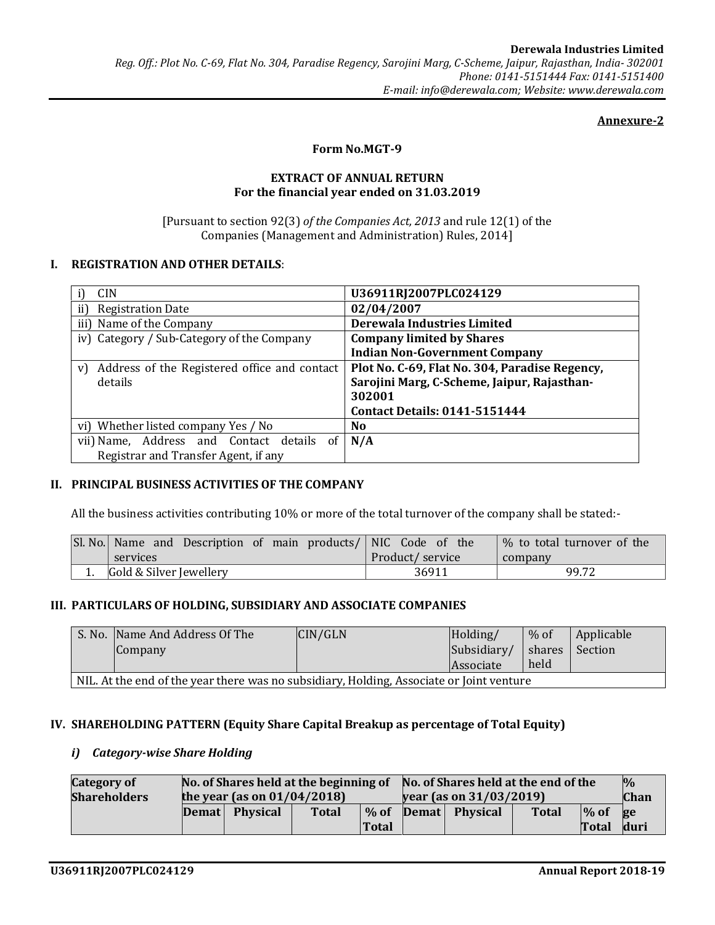### Annexure-2

### Form No.MGT-9

### EXTRACT OF ANNUAL RETURN For the financial year ended on 31.03.2019

[Pursuant to section 92(3) of the Companies Act, 2013 and rule 12(1) of the Companies (Management and Administration) Rules, 2014]

# I. REGISTRATION AND OTHER DETAILS:

| <b>CIN</b>                                         | U36911RJ2007PLC024129                          |  |  |  |
|----------------------------------------------------|------------------------------------------------|--|--|--|
| ii)<br><b>Registration Date</b>                    | 02/04/2007                                     |  |  |  |
| iii) Name of the Company                           | Derewala Industries Limited                    |  |  |  |
| iv) Category / Sub-Category of the Company         | <b>Company limited by Shares</b>               |  |  |  |
|                                                    | <b>Indian Non-Government Company</b>           |  |  |  |
| Address of the Registered office and contact<br>V) | Plot No. C-69, Flat No. 304, Paradise Regency, |  |  |  |
| details                                            | Sarojini Marg, C-Scheme, Jaipur, Rajasthan-    |  |  |  |
|                                                    | 302001                                         |  |  |  |
|                                                    | <b>Contact Details: 0141-5151444</b>           |  |  |  |
| vi) Whether listed company Yes / No                | N <sub>0</sub>                                 |  |  |  |
| vii) Name, Address and Contact details of          | N/A                                            |  |  |  |
| Registrar and Transfer Agent, if any               |                                                |  |  |  |

# II. PRINCIPAL BUSINESS ACTIVITIES OF THE COMPANY

All the business activities contributing 10% or more of the total turnover of the company shall be stated:-

| SI. No.   Name and Description of main products/   NIC Code of the |                 | % to total turnover of the |
|--------------------------------------------------------------------|-----------------|----------------------------|
| services                                                           | Product/service | company                    |
| Gold & Silver Jewellery                                            | 36911           | 99.72                      |

#### III. PARTICULARS OF HOLDING, SUBSIDIARY AND ASSOCIATE COMPANIES

| S. No. Name And Address Of The<br>Company                                                | CIN/GLN | Holding/<br>Subsidiary/ | $%$ of | Applicable<br>shares Section |
|------------------------------------------------------------------------------------------|---------|-------------------------|--------|------------------------------|
|                                                                                          |         | <i>Associate</i>        | held   |                              |
| NIL. At the end of the year there was no subsidiary, Holding, Associate or Joint venture |         |                         |        |                              |

### IV. SHAREHOLDING PATTERN (Equity Share Capital Breakup as percentage of Total Equity)

#### i) Category-wise Share Holding

| <b>Category of</b>  | No. of Shares held at the beginning of |                |              | No. of Shares held at the end of the |  |                |              | $\frac{0}{0}$ |      |
|---------------------|----------------------------------------|----------------|--------------|--------------------------------------|--|----------------|--------------|---------------|------|
| <b>Shareholders</b> | the year (as on $01/04/2018$ )         |                |              | year (as on $31/03/2019$ )           |  |                |              | <b>Chan</b>   |      |
|                     |                                        | Demat Physical | <b>Total</b> | $%$ of                               |  | Demat Physical | <b>Total</b> | $\%$ of       | ge   |
|                     |                                        |                |              | <b>Total</b>                         |  |                |              | Total         | duri |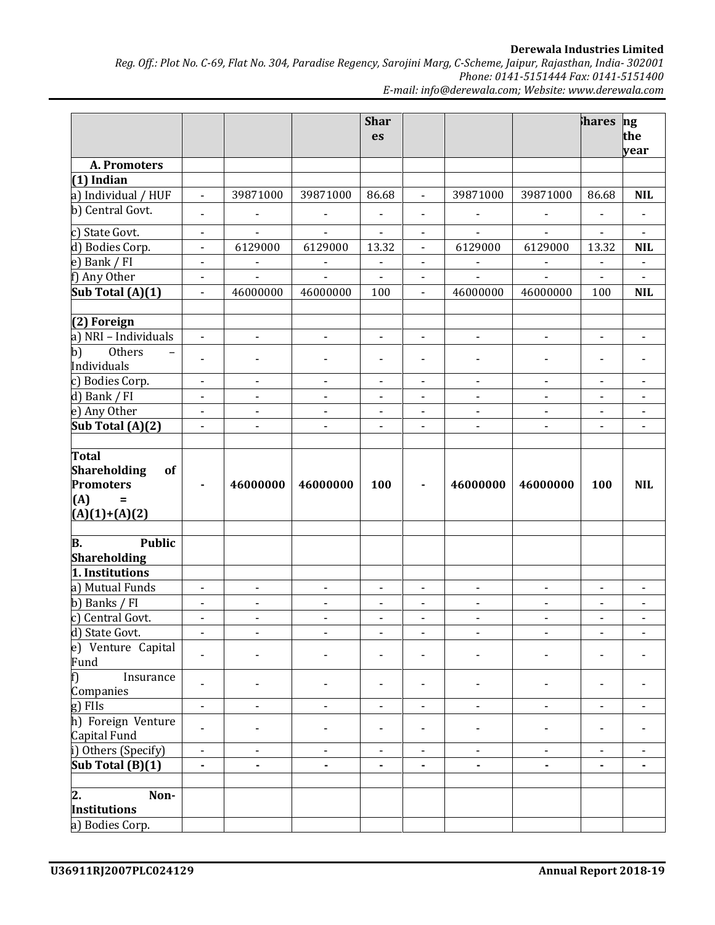Derewala Industries Limited

Reg. Off.: Plot No. C-69, Flat No. 304, Paradise Regency, Sarojini Marg, C-Scheme, Jaipur, Rajasthan, India- 302001 Phone: 0141-5151444 Fax: 0141-5151400

E-mail: info@derewala.com; Website: www.derewala.com

|                                          |                              |                              |                          | <b>Shar</b>                  |                              |                              |                          | hares ng                     |                              |
|------------------------------------------|------------------------------|------------------------------|--------------------------|------------------------------|------------------------------|------------------------------|--------------------------|------------------------------|------------------------------|
|                                          |                              |                              |                          | es                           |                              |                              |                          |                              | the                          |
|                                          |                              |                              |                          |                              |                              |                              |                          |                              | year                         |
| A. Promoters                             |                              |                              |                          |                              |                              |                              |                          |                              |                              |
| $(1)$ Indian                             |                              |                              |                          |                              |                              |                              |                          |                              |                              |
| a) Individual / HUF                      | $\overline{\phantom{a}}$     | 39871000                     | 39871000                 | 86.68                        | $\overline{\phantom{a}}$     | 39871000                     | 39871000                 | 86.68                        | <b>NIL</b>                   |
| b) Central Govt.                         | $\overline{\phantom{a}}$     | $\overline{\phantom{a}}$     | $\overline{\phantom{a}}$ | $\blacksquare$               | $\overline{\phantom{a}}$     | $\overline{\phantom{a}}$     |                          | $\overline{\phantom{a}}$     | $\overline{\phantom{a}}$     |
| c) State Govt.                           | $\overline{\phantom{0}}$     | $\overline{\phantom{a}}$     |                          | $\overline{\phantom{a}}$     | $\overline{\phantom{a}}$     | $\overline{\phantom{0}}$     | $\frac{1}{2}$            | $\overline{\phantom{a}}$     | $\overline{\phantom{a}}$     |
| d) Bodies Corp.                          | $\overline{\phantom{a}}$     | 6129000                      | 6129000                  | 13.32                        | $\blacksquare$               | 6129000                      | 6129000                  | 13.32                        | <b>NIL</b>                   |
| e) Bank / FI                             | $\overline{\phantom{a}}$     | $\overline{\phantom{a}}$     | $\overline{\phantom{a}}$ | $\overline{\phantom{m}}$     | $\blacksquare$               | $\overline{\phantom{a}}$     | $\blacksquare$           | $\blacksquare$               | $\overline{\phantom{a}}$     |
| f) Any Other                             | $\overline{\phantom{0}}$     | $\blacksquare$               | $\blacksquare$           | $\blacksquare$               | $\overline{\phantom{a}}$     | $\blacksquare$               | $\blacksquare$           | $\blacksquare$               | $\sim$                       |
| Sub Total (A)(1)                         | $\overline{\phantom{a}}$     | 46000000                     | 46000000                 | 100                          | $\blacksquare$               | 46000000                     | 46000000                 | 100                          | <b>NIL</b>                   |
|                                          |                              |                              |                          |                              |                              |                              |                          |                              |                              |
| (2) Foreign                              |                              |                              |                          |                              |                              |                              |                          |                              |                              |
| a) NRI - Individuals                     | $\overline{\phantom{0}}$     | $\overline{\phantom{a}}$     | $\overline{\phantom{a}}$ | $\overline{\phantom{a}}$     | $\overline{\phantom{a}}$     | $\frac{1}{2}$                | $\overline{\phantom{a}}$ | $\overline{\phantom{a}}$     | $\blacksquare$               |
| Others<br>b)<br>$\overline{\phantom{0}}$ |                              |                              |                          |                              |                              |                              |                          |                              |                              |
| Individuals                              | $\qquad \qquad \blacksquare$ |                              |                          | ÷,                           | $\overline{\phantom{a}}$     | $\qquad \qquad \blacksquare$ |                          | $\overline{\phantom{a}}$     | $\overline{\phantom{a}}$     |
| c) Bodies Corp.                          | $\overline{\phantom{a}}$     | $\overline{\phantom{a}}$     | $\overline{\phantom{a}}$ | $\overline{\phantom{m}}$     | $\blacksquare$               | $\overline{\phantom{a}}$     | $\overline{\phantom{a}}$ | $\overline{\phantom{a}}$     | $\overline{\phantom{a}}$     |
| d) Bank / FI                             | $\overline{\phantom{0}}$     | $\blacksquare$               | $\blacksquare$           | $\overline{\phantom{a}}$     | $\overline{\phantom{a}}$     | $\overline{\phantom{a}}$     | $\blacksquare$           | $\overline{\phantom{a}}$     | $\blacksquare$               |
| e) Any Other                             | $\overline{\phantom{a}}$     | $\overline{\phantom{a}}$     | $\overline{\phantom{a}}$ | $\overline{\phantom{a}}$     | $\blacksquare$               | $\overline{\phantom{m}}$     | $\overline{\phantom{a}}$ | $\overline{\phantom{a}}$     | $\overline{\phantom{a}}$     |
| Sub Total (A)(2)                         | $\blacksquare$               | $\overline{a}$               | $\overline{a}$           | $\overline{a}$               | $\overline{a}$               | $\overline{a}$               | $\overline{a}$           | $\blacksquare$               | $\blacksquare$               |
|                                          |                              |                              |                          |                              |                              |                              |                          |                              |                              |
| <b>Total</b>                             |                              |                              |                          |                              |                              |                              |                          |                              |                              |
| <b>Shareholding</b><br>of                |                              |                              |                          |                              |                              |                              |                          |                              |                              |
| <b>Promoters</b>                         |                              | 46000000                     | 46000000                 | 100                          | $\blacksquare$               | 46000000                     | 46000000                 | 100                          | <b>NIL</b>                   |
| (A)<br>$\equiv$                          |                              |                              |                          |                              |                              |                              |                          |                              |                              |
| $(A)(1)+(A)(2)$                          |                              |                              |                          |                              |                              |                              |                          |                              |                              |
|                                          |                              |                              |                          |                              |                              |                              |                          |                              |                              |
| <b>Public</b><br>В.                      |                              |                              |                          |                              |                              |                              |                          |                              |                              |
| <b>Shareholding</b>                      |                              |                              |                          |                              |                              |                              |                          |                              |                              |
| 1. Institutions                          |                              |                              |                          |                              |                              |                              |                          |                              |                              |
| a) Mutual Funds                          | $\overline{\phantom{a}}$     | $\overline{\phantom{a}}$     | $\overline{\phantom{a}}$ | $\overline{\phantom{a}}$     | $\overline{\phantom{a}}$     | $\overline{\phantom{a}}$     | $\overline{\phantom{a}}$ | $\overline{\phantom{a}}$     | $\blacksquare$               |
| b) Banks / FI                            | $\overline{\phantom{a}}$     | $\overline{\phantom{a}}$     | $\overline{\phantom{a}}$ | $\overline{\phantom{a}}$     | $\overline{\phantom{a}}$     | $\overline{\phantom{0}}$     | $\overline{\phantom{a}}$ | $\overline{\phantom{a}}$     | $\overline{\phantom{a}}$     |
| c) Central Govt.                         | $\overline{\phantom{0}}$     | $\overline{\phantom{a}}$     | $\overline{\phantom{a}}$ | $\qquad \qquad \blacksquare$ | $\qquad \qquad \blacksquare$ | $\overline{\phantom{0}}$     | $\overline{\phantom{a}}$ | $\qquad \qquad \blacksquare$ | $\qquad \qquad \blacksquare$ |
| d) State Govt.                           | -                            | $\qquad \qquad \blacksquare$ | -                        | -                            | $\qquad \qquad \blacksquare$ | $\overline{\phantom{0}}$     | $\blacksquare$           | -                            | ۰                            |
| e) Venture Capital                       |                              |                              |                          |                              |                              |                              |                          |                              |                              |
| Fund                                     |                              |                              |                          |                              |                              |                              |                          |                              |                              |
| Insurance<br>f)                          |                              |                              |                          |                              |                              |                              |                          |                              |                              |
| Companies                                | $\blacksquare$               |                              |                          | $\overline{\phantom{a}}$     |                              |                              |                          |                              |                              |
| g) FIIs                                  | $\overline{\phantom{0}}$     |                              |                          | $\overline{\phantom{0}}$     | $\overline{\phantom{0}}$     |                              | $\overline{\phantom{0}}$ |                              | $\blacksquare$               |
| h) Foreign Venture                       |                              |                              |                          |                              |                              |                              |                          |                              |                              |
| Capital Fund                             |                              |                              |                          |                              |                              |                              |                          |                              |                              |
| i) Others (Specify)                      | $\overline{\phantom{0}}$     | $\overline{\phantom{a}}$     | $\overline{\phantom{a}}$ | $\overline{\phantom{a}}$     | $\blacksquare$               | $\qquad \qquad \blacksquare$ | $\overline{\phantom{a}}$ | $\overline{\phantom{a}}$     | $\overline{\phantom{a}}$     |
| Sub Total (B)(1)                         | -                            | $\blacksquare$               | $\blacksquare$           | ۰                            | ٠                            | ٠                            | $\blacksquare$           | $\blacksquare$               | ۰                            |
|                                          |                              |                              |                          |                              |                              |                              |                          |                              |                              |
| $\mathbf{z}$ .<br>Non-                   |                              |                              |                          |                              |                              |                              |                          |                              |                              |
| <b>Institutions</b>                      |                              |                              |                          |                              |                              |                              |                          |                              |                              |
| a) Bodies Corp.                          |                              |                              |                          |                              |                              |                              |                          |                              |                              |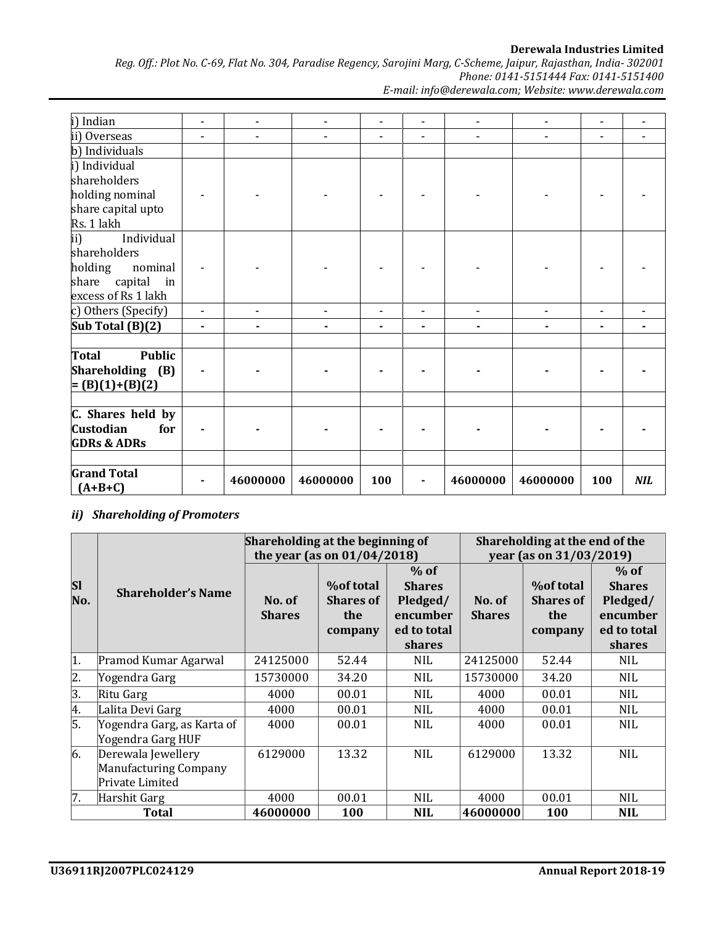Derewala Industries Limited

Reg. Off.: Plot No. C-69, Flat No. 304, Paradise Regency, Sarojini Marg, C-Scheme, Jaipur, Rajasthan, India- 302001 Phone: 0141-5151444 Fax: 0141-5151400 E-mail: info@derewala.com; Website: www.derewala.com

| i) Indian              | $\overline{\phantom{a}}$ | $\blacksquare$ | $\overline{\phantom{0}}$ | $\overline{\phantom{0}}$ | $\overline{\phantom{a}}$ | $\overline{\phantom{a}}$ | $\overline{\phantom{a}}$ | $\overline{\phantom{a}}$ | -          |
|------------------------|--------------------------|----------------|--------------------------|--------------------------|--------------------------|--------------------------|--------------------------|--------------------------|------------|
| ii) Overseas           | $\blacksquare$           |                |                          | $\blacksquare$           | $\blacksquare$           |                          |                          | $\overline{\phantom{a}}$ |            |
| b) Individuals         |                          |                |                          |                          |                          |                          |                          |                          |            |
| i) Individual          |                          |                |                          |                          |                          |                          |                          |                          |            |
| shareholders           |                          |                |                          |                          |                          |                          |                          |                          |            |
| holding nominal        |                          |                |                          |                          |                          |                          |                          |                          |            |
| share capital upto     |                          |                |                          |                          |                          |                          |                          |                          |            |
| Rs. 1 lakh             |                          |                |                          |                          |                          |                          |                          |                          |            |
| ii)<br>Individual      |                          |                |                          |                          |                          |                          |                          |                          |            |
| shareholders           |                          |                |                          |                          |                          |                          |                          |                          |            |
| holding<br>nominal     |                          |                |                          |                          |                          |                          |                          |                          |            |
| capital in<br>share    |                          |                |                          |                          |                          |                          |                          |                          |            |
| excess of Rs 1 lakh    |                          |                |                          |                          |                          |                          |                          |                          |            |
| c) Others (Specify)    | $\frac{1}{2}$            |                |                          | -                        | -                        |                          |                          | $\blacksquare$           |            |
| Sub Total (B)(2)       | $\blacksquare$           |                |                          | $\blacksquare$           | $\blacksquare$           |                          |                          | $\blacksquare$           |            |
|                        |                          |                |                          |                          |                          |                          |                          |                          |            |
| <b>Public</b><br>Total |                          |                |                          |                          |                          |                          |                          |                          |            |
| Shareholding (B)       | $\blacksquare$           |                |                          |                          |                          |                          |                          |                          |            |
| $= (B)(1)+(B)(2)$      |                          |                |                          |                          |                          |                          |                          |                          |            |
|                        |                          |                |                          |                          |                          |                          |                          |                          |            |
| C. Shares held by      |                          |                |                          |                          |                          |                          |                          |                          |            |
| Custodian<br>for       |                          |                |                          |                          |                          |                          |                          |                          |            |
| <b>GDRs &amp; ADRs</b> |                          |                |                          |                          |                          |                          |                          |                          |            |
|                        |                          |                |                          |                          |                          |                          |                          |                          |            |
| <b>Grand Total</b>     |                          | 46000000       | 46000000                 | 100                      |                          | 46000000                 | 46000000                 | 100                      | <b>NIL</b> |
| $(A+B+C)$              |                          |                |                          |                          |                          |                          |                          |                          |            |

# ii) Shareholding of Promoters

|                  |                                                                | Shareholding at the beginning of |                                                                        |                                                 | Shareholding at the end of the<br>year (as on 31/03/2019) |                                             |                                                 |
|------------------|----------------------------------------------------------------|----------------------------------|------------------------------------------------------------------------|-------------------------------------------------|-----------------------------------------------------------|---------------------------------------------|-------------------------------------------------|
| <b>SI</b><br>No. | <b>Shareholder's Name</b>                                      | No. of<br><b>Shares</b>          | the year (as on $01/04/2018$ )<br>%of total<br><b>Shares of</b><br>the | $%$ of<br><b>Shares</b><br>Pledged/<br>encumber | No. of<br><b>Shares</b>                                   | <b>%of total</b><br><b>Shares of</b><br>the | $%$ of<br><b>Shares</b><br>Pledged/<br>encumber |
|                  |                                                                |                                  | company                                                                | ed to total<br>shares                           |                                                           | company                                     | ed to total<br>shares                           |
| 1.               | Pramod Kumar Agarwal                                           | 24125000                         | 52.44                                                                  | <b>NIL</b>                                      | 24125000                                                  | 52.44                                       | NIL.                                            |
| $\overline{2}$ . | Yogendra Garg                                                  | 15730000                         | 34.20                                                                  | <b>NIL</b>                                      | 15730000                                                  | 34.20                                       | <b>NIL</b>                                      |
| $\overline{3}$ . | Ritu Garg                                                      | 4000                             | 00.01                                                                  | <b>NIL</b>                                      | 4000                                                      | 00.01                                       | <b>NIL</b>                                      |
| $\frac{4}{5}$    | Lalita Devi Garg                                               | 4000                             | 00.01                                                                  | <b>NIL</b>                                      | 4000                                                      | 00.01                                       | <b>NIL</b>                                      |
|                  | Yogendra Garg, as Karta of<br>Yogendra Garg HUF                | 4000                             | 00.01                                                                  | <b>NIL</b>                                      | 4000                                                      | 00.01                                       | <b>NIL</b>                                      |
| $\overline{6}$ . | Derewala Jewellery<br>Manufacturing Company<br>Private Limited | 6129000                          | 13.32                                                                  | <b>NIL</b>                                      | 6129000                                                   | 13.32                                       | <b>NIL</b>                                      |
| $\overline{7}$ . | Harshit Garg                                                   | 4000                             | 00.01                                                                  | NIL.                                            | 4000                                                      | 00.01                                       | NIL                                             |
|                  | <b>Total</b>                                                   | 46000000                         | <b>100</b>                                                             | <b>NIL</b>                                      | 46000000                                                  | <b>100</b>                                  | <b>NIL</b>                                      |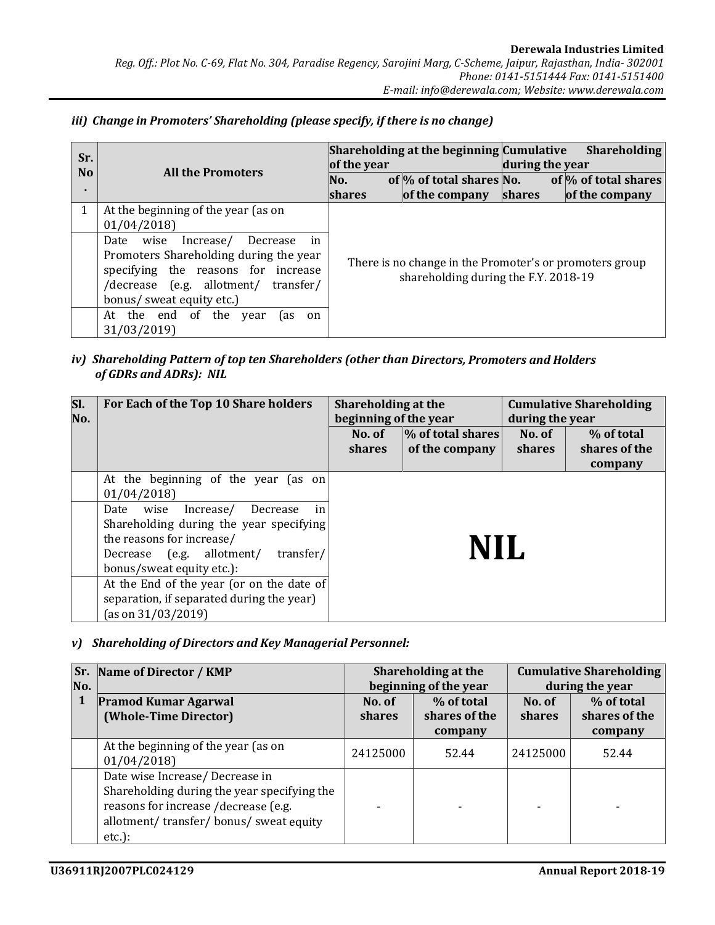| Sr.<br>N <sub>0</sub> | <b>All the Promoters</b>                                                                                                                                                                                                                                                                                                             | of the year<br>No.<br><b>shares</b> | Shareholding at the beginning Cumulative<br>of $\%$ of total shares No.<br>of the company       | during the year<br><b>shares</b> | <b>Shareholding</b><br>of $\%$ of total shares<br>of the company |
|-----------------------|--------------------------------------------------------------------------------------------------------------------------------------------------------------------------------------------------------------------------------------------------------------------------------------------------------------------------------------|-------------------------------------|-------------------------------------------------------------------------------------------------|----------------------------------|------------------------------------------------------------------|
|                       | At the beginning of the year (as on<br>01/04/2018<br>in<br>Date wise<br>Increase/<br>Decrease<br>Promoters Shareholding during the year<br>specifying the reasons for increase<br>/decrease (e.g. allotment/<br>transfer/<br>bonus/ sweat equity etc.)<br>of<br>At<br>the end<br>the<br>year<br>l as<br><sub>on</sub><br>31/03/2019) |                                     | There is no change in the Promoter's or promoters group<br>shareholding during the F.Y. 2018-19 |                                  |                                                                  |

### iii) Change in Promoters' Shareholding (please specify, if there is no change)

# iv) Shareholding Pattern of top ten Shareholders (other than Directors, Promoters and Holders of GDRs and ADRs): NIL

| SI.<br>No. | For Each of the Top 10 Share holders                                                                                                                                                       | Shareholding at the<br>beginning of the year                    |  | during the year  | <b>Cumulative Shareholding</b>         |
|------------|--------------------------------------------------------------------------------------------------------------------------------------------------------------------------------------------|-----------------------------------------------------------------|--|------------------|----------------------------------------|
|            |                                                                                                                                                                                            | % of total shares <br>No. of<br>of the company<br><b>shares</b> |  | No. of<br>shares | % of total<br>shares of the<br>company |
|            | At the beginning of the year (as on<br>01/04/2018                                                                                                                                          |                                                                 |  |                  |                                        |
|            | Date wise<br>Decrease<br>in<br>Increase/<br>Shareholding during the year specifying<br>the reasons for increase/<br>(e.g. allotment/<br>transfer/<br>Decrease<br>bonus/sweat equity etc.): | NII.                                                            |  |                  |                                        |
|            | At the End of the year (or on the date of<br>separation, if separated during the year)<br>(as on $31/03/2019$ )                                                                            |                                                                 |  |                  |                                        |

### v) Shareholding of Directors and Key Managerial Personnel:

| No. | <b>Sr. Name of Director / KMP</b>                                                                                                                                          |                         | Shareholding at the<br>beginning of the year | <b>Cumulative Shareholding</b><br>during the year |                             |  |
|-----|----------------------------------------------------------------------------------------------------------------------------------------------------------------------------|-------------------------|----------------------------------------------|---------------------------------------------------|-----------------------------|--|
|     | <b>Pramod Kumar Agarwal</b><br>(Whole-Time Director)                                                                                                                       | No. of<br><b>shares</b> | % of total<br>shares of the                  | No. of<br>shares                                  | % of total<br>shares of the |  |
|     |                                                                                                                                                                            |                         | company                                      |                                                   | company                     |  |
|     | At the beginning of the year (as on<br>01/04/2018                                                                                                                          | 24125000                | 52.44                                        | 24125000                                          | 52.44                       |  |
|     | Date wise Increase/Decrease in<br>Shareholding during the year specifying the<br>reasons for increase /decrease (e.g.<br>allotment/transfer/bonus/sweat equity<br>$etc.$ : |                         |                                              |                                                   |                             |  |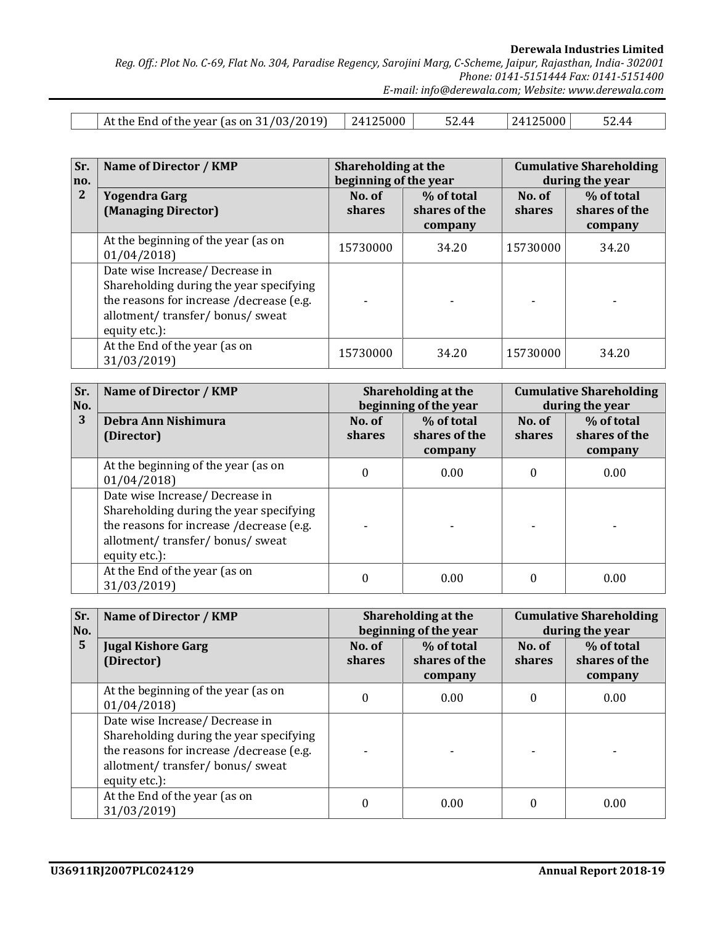Derewala Industries Limited

Reg. Off.: Plot No. C-69, Flat No. 304, Paradise Regency, Sarojini Marg, C-Scheme, Jaipur, Rajasthan, India- 302001 Phone: 0141-5151444 Fax: 0141-5151400

E-mail: info@derewala.com; Website: www.derewala.com

| At the End of the year (as on $31/03/2019$ ) 24125000 | 52.44 | 24125000 | 52.44 |
|-------------------------------------------------------|-------|----------|-------|

| Sr.<br>no.   | Name of Director / KMP                                                                                                                                                    | Shareholding at the<br>beginning of the year |                                        | <b>Cumulative Shareholding</b><br>during the year |                                        |  |
|--------------|---------------------------------------------------------------------------------------------------------------------------------------------------------------------------|----------------------------------------------|----------------------------------------|---------------------------------------------------|----------------------------------------|--|
| $\mathbf{2}$ | <b>Yogendra Garg</b><br>(Managing Director)                                                                                                                               | No. of<br><b>shares</b>                      | % of total<br>shares of the<br>company | No. of<br><b>shares</b>                           | % of total<br>shares of the<br>company |  |
|              | At the beginning of the year (as on<br>01/04/2018                                                                                                                         | 15730000                                     | 34.20                                  | 15730000                                          | 34.20                                  |  |
|              | Date wise Increase/ Decrease in<br>Shareholding during the year specifying<br>the reasons for increase /decrease (e.g.<br>allotment/transfer/bonus/sweat<br>equity etc.): |                                              |                                        |                                                   |                                        |  |
|              | At the End of the year (as on<br>31/03/2019)                                                                                                                              | 15730000                                     | 34.20                                  | 15730000                                          | 34.20                                  |  |

| Sr.<br>No. | Name of Director / KMP                                                                                                                                                    |                  | Shareholding at the<br>beginning of the year |                         | <b>Cumulative Shareholding</b><br>during the year |  |  |
|------------|---------------------------------------------------------------------------------------------------------------------------------------------------------------------------|------------------|----------------------------------------------|-------------------------|---------------------------------------------------|--|--|
| 3          | Debra Ann Nishimura<br>(Director)                                                                                                                                         | No. of<br>shares | % of total<br>shares of the<br>company       | No. of<br><b>shares</b> | % of total<br>shares of the<br>company            |  |  |
|            | At the beginning of the year (as on<br>01/04/2018                                                                                                                         | $\Omega$         | 0.00                                         | 0                       | 0.00                                              |  |  |
|            | Date wise Increase/ Decrease in<br>Shareholding during the year specifying<br>the reasons for increase /decrease (e.g.<br>allotment/transfer/bonus/sweat<br>equity etc.): |                  |                                              |                         |                                                   |  |  |
|            | At the End of the year (as on<br>31/03/2019)                                                                                                                              | $\theta$         | 0.00                                         |                         | 0.00                                              |  |  |

| Sr.<br>No.     | Name of Director / KMP                                                                                                                                                    |                  | Shareholding at the<br>beginning of the year |                         | <b>Cumulative Shareholding</b><br>during the year |  |  |
|----------------|---------------------------------------------------------------------------------------------------------------------------------------------------------------------------|------------------|----------------------------------------------|-------------------------|---------------------------------------------------|--|--|
| $5\phantom{1}$ | <b>Jugal Kishore Garg</b><br>(Director)                                                                                                                                   | No. of<br>shares | % of total<br>shares of the<br>company       | No. of<br><b>shares</b> | % of total<br>shares of the<br>company            |  |  |
|                | At the beginning of the year (as on<br>01/04/2018                                                                                                                         | $\Omega$         | 0.00                                         | 0                       | 0.00                                              |  |  |
|                | Date wise Increase/ Decrease in<br>Shareholding during the year specifying<br>the reasons for increase /decrease (e.g.<br>allotment/transfer/bonus/sweat<br>equity etc.): |                  |                                              |                         |                                                   |  |  |
|                | At the End of the year (as on<br>31/03/2019)                                                                                                                              | $\theta$         | 0.00                                         | 0                       | 0.00                                              |  |  |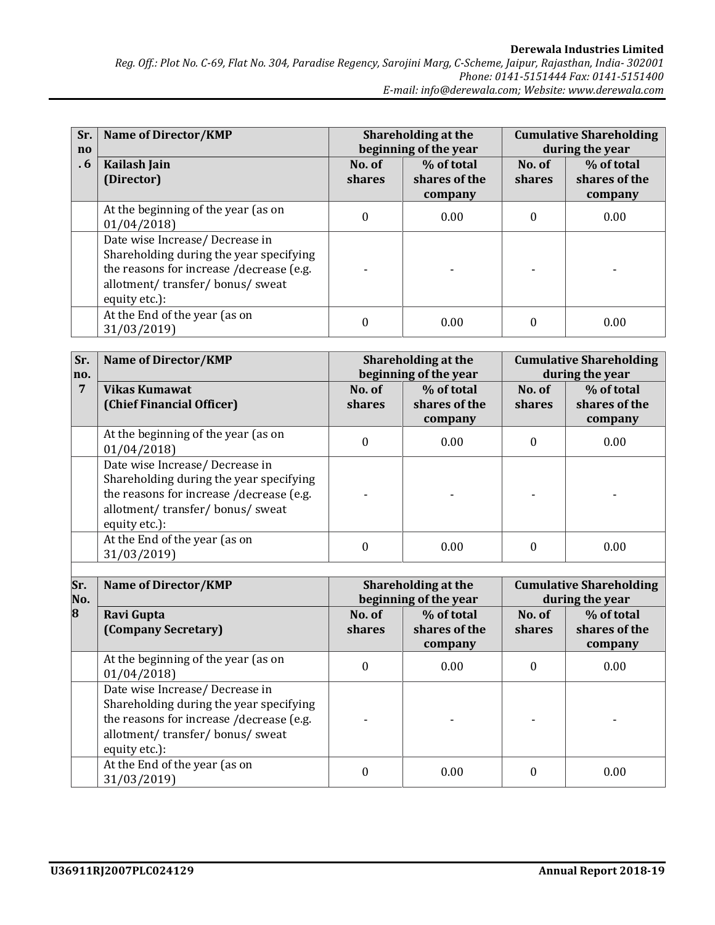| Sr.<br>$\mathbf{n}$ | Name of Director/KMP                                                                                                                                                      |                  | Shareholding at the<br>beginning of the year |                  | <b>Cumulative Shareholding</b><br>during the year |  |  |
|---------------------|---------------------------------------------------------------------------------------------------------------------------------------------------------------------------|------------------|----------------------------------------------|------------------|---------------------------------------------------|--|--|
| $\cdot 6$           | Kailash Jain<br>(Director)                                                                                                                                                | No. of<br>shares | % of total<br>shares of the<br>company       | No. of<br>shares | % of total<br>shares of the<br>company            |  |  |
|                     | At the beginning of the year (as on<br>01/04/2018                                                                                                                         | 0                | 0.00                                         | 0                | 0.00                                              |  |  |
|                     | Date wise Increase/ Decrease in<br>Shareholding during the year specifying<br>the reasons for increase /decrease (e.g.<br>allotment/transfer/bonus/sweat<br>equity etc.): |                  |                                              |                  |                                                   |  |  |
|                     | At the End of the year (as on<br>31/03/2019)                                                                                                                              | 0                | 0.00                                         | 0                | 0.00                                              |  |  |

| Sr.<br>no. | <b>Name of Director/KMP</b>                                                                                                                                              |                         | Shareholding at the<br>beginning of the year |                         | <b>Cumulative Shareholding</b><br>during the year |  |  |
|------------|--------------------------------------------------------------------------------------------------------------------------------------------------------------------------|-------------------------|----------------------------------------------|-------------------------|---------------------------------------------------|--|--|
| 7          | Vikas Kumawat<br>(Chief Financial Officer)                                                                                                                               | No. of<br><b>shares</b> | % of total<br>shares of the<br>company       | No. of<br><b>shares</b> | % of total<br>shares of the<br>company            |  |  |
|            | At the beginning of the year (as on<br>01/04/2018                                                                                                                        | 0                       | 0.00                                         | $\theta$                | 0.00                                              |  |  |
|            | Date wise Increase/Decrease in<br>Shareholding during the year specifying<br>the reasons for increase /decrease (e.g.<br>allotment/transfer/bonus/sweat<br>equity etc.): |                         |                                              |                         |                                                   |  |  |
|            | At the End of the year (as on<br>31/03/2019)                                                                                                                             | 0                       | 0.00                                         | $\Omega$                | 0.00                                              |  |  |

| Sr.<br>No. | Name of Director/KMP                                                                                                                                                     |                  | Shareholding at the<br>beginning of the year |                  | <b>Cumulative Shareholding</b><br>during the year |  |  |
|------------|--------------------------------------------------------------------------------------------------------------------------------------------------------------------------|------------------|----------------------------------------------|------------------|---------------------------------------------------|--|--|
| 8          | Ravi Gupta<br>(Company Secretary)                                                                                                                                        | No. of<br>shares | % of total<br>shares of the<br>company       | No. of<br>shares | % of total<br>shares of the<br>company            |  |  |
|            | At the beginning of the year (as on<br>01/04/2018                                                                                                                        |                  | 0.00                                         | 0                | 0.00                                              |  |  |
|            | Date wise Increase/Decrease in<br>Shareholding during the year specifying<br>the reasons for increase /decrease (e.g.<br>allotment/transfer/bonus/sweat<br>equity etc.): |                  |                                              |                  |                                                   |  |  |
|            | At the End of the year (as on<br>31/03/2019)                                                                                                                             |                  | 0.00                                         |                  | 0.00                                              |  |  |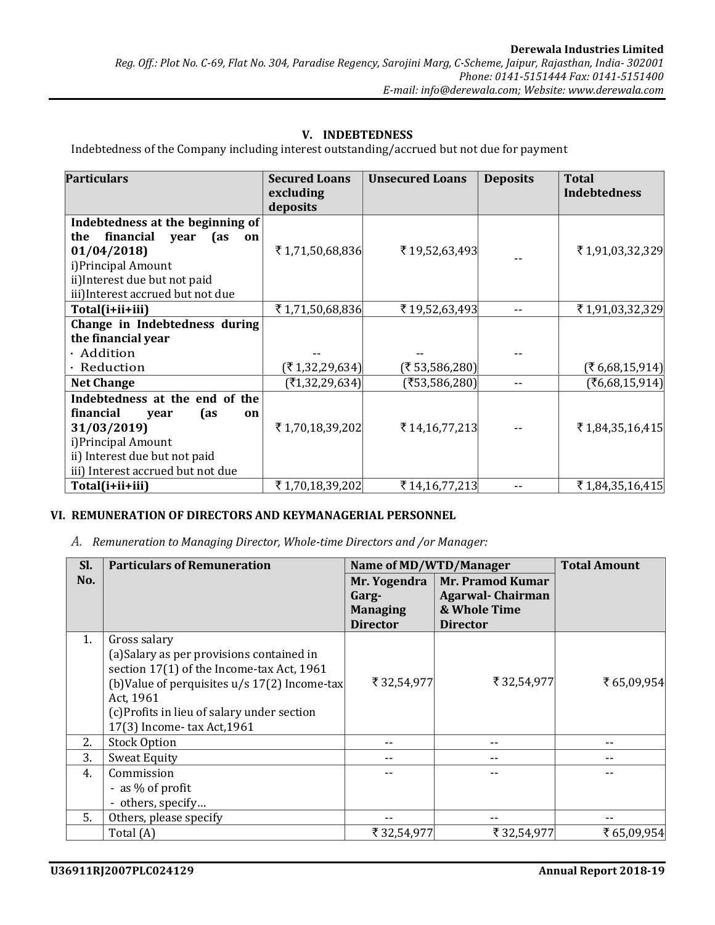# V. INDEBTEDNESS

Indebtedness of the Company including interest outstanding/accrued but not due for payment

| <b>Particulars</b>                                                                                                                                                           | <b>Secured Loans</b><br>excluding<br>deposits | <b>Unsecured Loans</b> | <b>Deposits</b> | <b>Total</b><br><b>Indebtedness</b> |
|------------------------------------------------------------------------------------------------------------------------------------------------------------------------------|-----------------------------------------------|------------------------|-----------------|-------------------------------------|
| Indebtedness at the beginning of<br>financial<br>the<br>(as<br>year<br>on                                                                                                    |                                               |                        |                 |                                     |
| 01/04/2018<br>i) Principal Amount<br>ii) Interest due but not paid<br>iii) Interest accrued but not due                                                                      | ₹1,71,50,68,836                               | ₹19,52,63,493          |                 | ₹1,91,03,32,329                     |
| Total(i+ii+iii)                                                                                                                                                              | ₹1,71,50,68,836                               | ₹19,52,63,493          | --              | ₹1,91,03,32,329                     |
| Change in Indebtedness during<br>the financial year<br>· Addition                                                                                                            |                                               |                        |                 |                                     |
| · Reduction                                                                                                                                                                  | $(\overline{\mathfrak{r}} 1,32,29,634)$       | (₹53,586,280)          |                 | (₹6,68,15,914)                      |
| <b>Net Change</b>                                                                                                                                                            | (71,32,29,634)                                | (₹53,586,280)          | --              | (₹6,68,15,914)                      |
| Indebtedness at the end of the<br>financial<br>(as<br>year<br>on<br>31/03/2019)<br>i) Principal Amount<br>ii) Interest due but not paid<br>iii) Interest accrued but not due | ₹1,70,18,39,202                               | ₹14,16,77,213          |                 | ₹1,84,35,16,415                     |
| Total(i+ii+iii)                                                                                                                                                              | ₹1,70,18,39,202                               | ₹14,16,77,213          |                 | ₹1,84,35,16,415                     |

### VI. REMUNERATION OF DIRECTORS AND KEYMANAGERIAL PERSONNEL

A. Remuneration to Managing Director, Whole-time Directors and /or Manager:

| SI. | <b>Particulars of Remuneration</b>                                                                                                                                                                                                                  | Name of MD/WTD/Manager                                      |                                                                                | <b>Total Amount</b> |
|-----|-----------------------------------------------------------------------------------------------------------------------------------------------------------------------------------------------------------------------------------------------------|-------------------------------------------------------------|--------------------------------------------------------------------------------|---------------------|
| No. |                                                                                                                                                                                                                                                     | Mr. Yogendra<br>Garg-<br><b>Managing</b><br><b>Director</b> | Mr. Pramod Kumar<br><b>Agarwal-Chairman</b><br>& Whole Time<br><b>Director</b> |                     |
| 1.  | Gross salary<br>(a) Salary as per provisions contained in<br>section 17(1) of the Income-tax Act, 1961<br>(b) Value of perquisites $u/s$ 17(2) Income-tax<br>Act, 1961<br>(c) Profits in lieu of salary under section<br>17(3) Income-tax Act, 1961 | ₹32,54,977                                                  | ₹32,54,977                                                                     | ₹65,09,954          |
| 2.  | <b>Stock Option</b>                                                                                                                                                                                                                                 | --                                                          |                                                                                |                     |
| 3.  | <b>Sweat Equity</b>                                                                                                                                                                                                                                 |                                                             |                                                                                |                     |
| 4.  | Commission<br>- as % of profit<br>- others, specify                                                                                                                                                                                                 |                                                             |                                                                                |                     |
| 5.  | Others, please specify                                                                                                                                                                                                                              |                                                             |                                                                                |                     |
|     | Total (A)                                                                                                                                                                                                                                           | ₹32,54,977                                                  | ₹32,54,977                                                                     | ₹65,09,954          |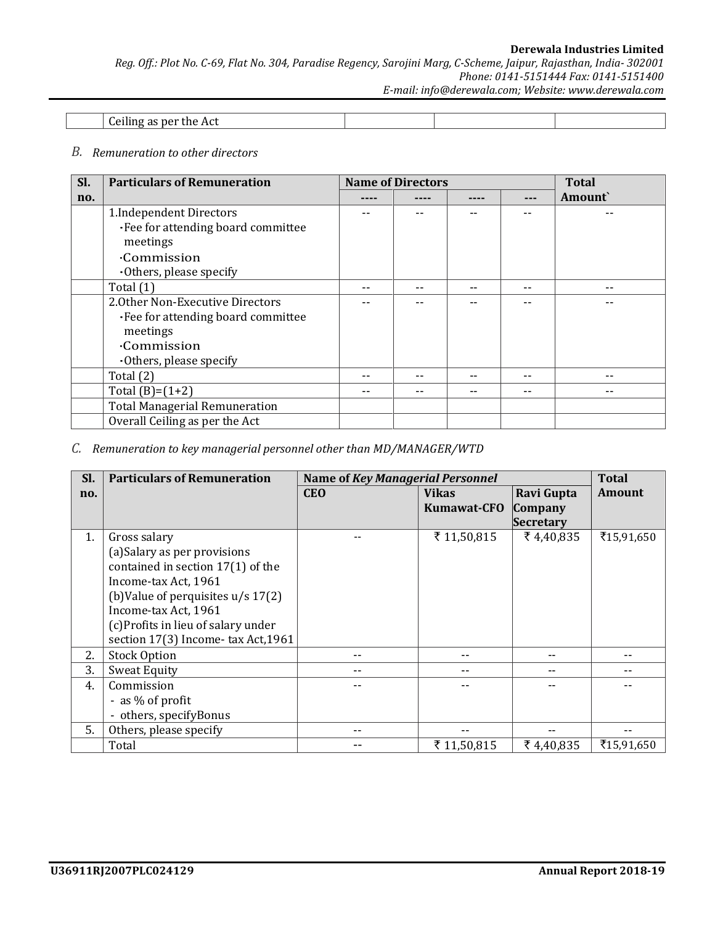#### Derewala Industries Limited Reg. Off.: Plot No. C-69, Flat No. 304, Paradise Regency, Sarojini Marg, C-Scheme, Jaipur, Rajasthan, India- 302001 Phone: 0141-5151444 Fax: 0141-5151400 E-mail: info@derewala.com; Website: www.derewala.com

| Ceiling as per the Act |  |  |
|------------------------|--|--|

#### B. Remuneration to other directors

| Sl. | <b>Particulars of Remuneration</b>   | <b>Name of Directors</b> |    | <b>Total</b> |
|-----|--------------------------------------|--------------------------|----|--------------|
| no. |                                      |                          |    | Amount`      |
|     | 1. Independent Directors             |                          |    |              |
|     | ·Fee for attending board committee   |                          |    |              |
|     | meetings                             |                          |    |              |
|     | <b>Commission</b>                    |                          |    |              |
|     | $\cdot$ Others, please specify       |                          |    |              |
|     | Total $(1)$                          |                          | -- |              |
|     | 2.0ther Non-Executive Directors      |                          |    |              |
|     | •Fee for attending board committee   |                          |    |              |
|     | meetings                             |                          |    |              |
|     | <b>Commission</b>                    |                          |    |              |
|     | $\cdot$ Others, please specify       |                          |    |              |
|     | Total $(2)$                          |                          |    |              |
|     | Total $(B)=(1+2)$                    |                          | -- |              |
|     | <b>Total Managerial Remuneration</b> |                          |    |              |
|     | Overall Ceiling as per the Act       |                          |    |              |

### C. Remuneration to key managerial personnel other than MD/MANAGER/WTD

| Sl. | <b>Particulars of Remuneration</b>   | <b>Name of Key Managerial Personnel</b> |                    |                  | <b>Total</b>  |
|-----|--------------------------------------|-----------------------------------------|--------------------|------------------|---------------|
| no. |                                      | <b>CEO</b>                              | <b>Vikas</b>       | Ravi Gupta       | <b>Amount</b> |
|     |                                      |                                         | <b>Kumawat-CFO</b> | Company          |               |
|     |                                      |                                         |                    | <b>Secretary</b> |               |
| 1.  | Gross salary                         |                                         | ₹ 11,50,815        | ₹4,40,835        | ₹15,91,650    |
|     | (a) Salary as per provisions         |                                         |                    |                  |               |
|     | contained in section 17(1) of the    |                                         |                    |                  |               |
|     | Income-tax Act, 1961                 |                                         |                    |                  |               |
|     | (b) Value of perquisites $u/s 17(2)$ |                                         |                    |                  |               |
|     | Income-tax Act, 1961                 |                                         |                    |                  |               |
|     | (c)Profits in lieu of salary under   |                                         |                    |                  |               |
|     | section 17(3) Income-tax Act, 1961   |                                         |                    |                  |               |
| 2.  | <b>Stock Option</b>                  |                                         |                    | --               |               |
| 3.  | <b>Sweat Equity</b>                  |                                         |                    |                  |               |
| 4.  | Commission                           |                                         |                    |                  |               |
|     | - as % of profit                     |                                         |                    |                  |               |
|     | - others, specifyBonus               |                                         |                    |                  |               |
| 5.  | Others, please specify               |                                         |                    |                  |               |
|     | Total                                |                                         | ₹ 11,50,815        | ₹4,40,835        | ₹15,91,650    |